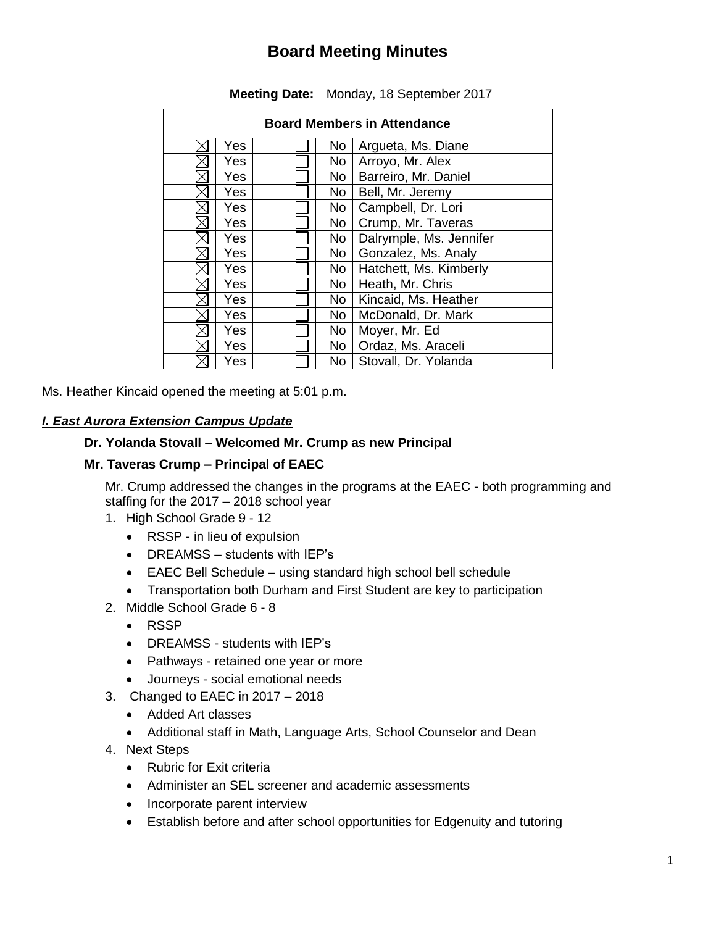# **Board Meeting Minutes**

| <b>Board Members in Attendance</b> |     |  |                 |                         |  |  |  |
|------------------------------------|-----|--|-----------------|-------------------------|--|--|--|
|                                    | Yes |  | No              | Argueta, Ms. Diane      |  |  |  |
|                                    | Yes |  | <b>No</b>       | Arroyo, Mr. Alex        |  |  |  |
|                                    | Yes |  | <b>No</b>       | Barreiro, Mr. Daniel    |  |  |  |
|                                    | Yes |  | No              | Bell, Mr. Jeremy        |  |  |  |
|                                    | Yes |  | No              | Campbell, Dr. Lori      |  |  |  |
|                                    | Yes |  | No              | Crump, Mr. Taveras      |  |  |  |
|                                    | Yes |  | No              | Dalrymple, Ms. Jennifer |  |  |  |
|                                    | Yes |  | No              | Gonzalez, Ms. Analy     |  |  |  |
|                                    | Yes |  | <b>No</b>       | Hatchett, Ms. Kimberly  |  |  |  |
|                                    | Yes |  | No              | Heath, Mr. Chris        |  |  |  |
|                                    | Yes |  | <b>No</b>       | Kincaid, Ms. Heather    |  |  |  |
|                                    | Yes |  | No <sub>1</sub> | McDonald, Dr. Mark      |  |  |  |
|                                    | Yes |  | <b>No</b>       | Moyer, Mr. Ed           |  |  |  |
|                                    | Yes |  | No              | Ordaz, Ms. Araceli      |  |  |  |
|                                    | Yes |  | No.             | Stovall, Dr. Yolanda    |  |  |  |

### **Meeting Date:** Monday, 18 September 2017

Ms. Heather Kincaid opened the meeting at 5:01 p.m.

# *I. East Aurora Extension Campus Update*

#### **Dr. Yolanda Stovall – Welcomed Mr. Crump as new Principal**

#### **Mr. Taveras Crump – Principal of EAEC**

Mr. Crump addressed the changes in the programs at the EAEC - both programming and staffing for the 2017 – 2018 school year

- 1. High School Grade 9 12
	- RSSP in lieu of expulsion
	- DREAMSS students with IEP's
	- EAEC Bell Schedule using standard high school bell schedule
	- Transportation both Durham and First Student are key to participation
- 2. Middle School Grade 6 8
	- RSSP
	- DREAMSS students with IEP's
	- Pathways retained one year or more
	- Journeys social emotional needs
- 3. Changed to EAEC in 2017 2018
	- Added Art classes
	- Additional staff in Math, Language Arts, School Counselor and Dean
- 4. Next Steps
	- Rubric for Exit criteria
	- Administer an SEL screener and academic assessments
	- Incorporate parent interview
	- Establish before and after school opportunities for Edgenuity and tutoring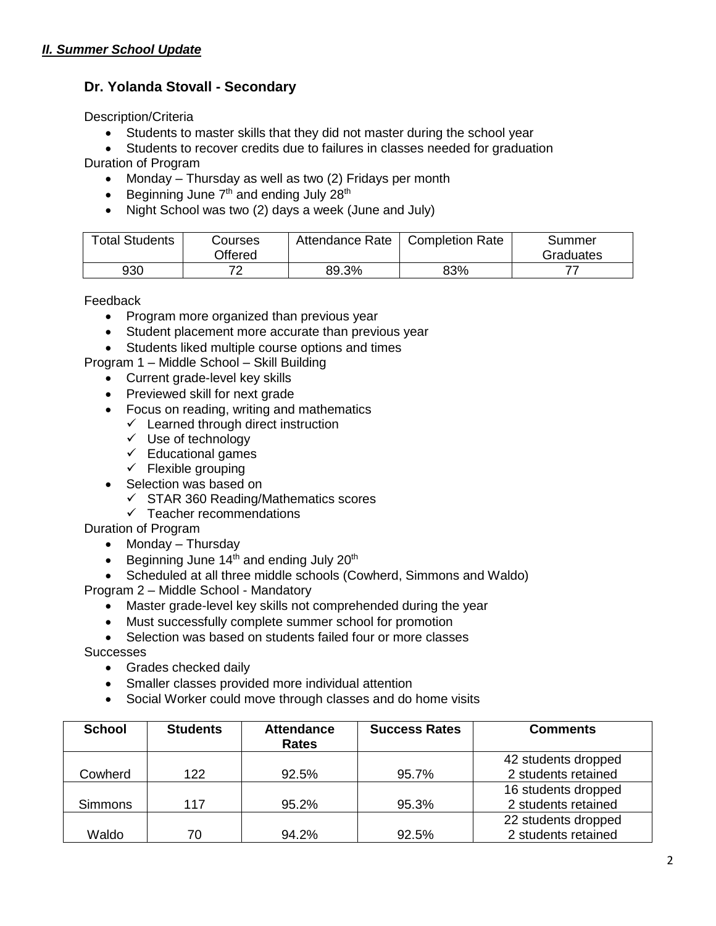# **Dr. Yolanda Stovall - Secondary**

Description/Criteria

- Students to master skills that they did not master during the school year
- Students to recover credits due to failures in classes needed for graduation

Duration of Program

- Monday Thursday as well as two (2) Fridays per month
- **Beginning June**  $7<sup>th</sup>$  **and ending July 28<sup>th</sup>**
- Night School was two (2) days a week (June and July)

| <b>Total Students</b> | Courses<br>Offered | Attendance Rate | <b>Completion Rate</b> | Summer<br>Graduates |
|-----------------------|--------------------|-----------------|------------------------|---------------------|
| 930                   | 70                 | 89.3%           | 83%                    |                     |

Feedback

- Program more organized than previous year
- Student placement more accurate than previous year
- Students liked multiple course options and times

Program 1 – Middle School – Skill Building

- Current grade-level key skills
- Previewed skill for next grade
- Focus on reading, writing and mathematics
	- $\checkmark$  Learned through direct instruction
	- $\checkmark$  Use of technology
	- $\checkmark$  Educational games
	- $\checkmark$  Flexible grouping
- Selection was based on
	- $\checkmark$  STAR 360 Reading/Mathematics scores
	- $\checkmark$  Teacher recommendations

Duration of Program

- Monday Thursday
- **Beginning June 14th and ending July 20th**
- Scheduled at all three middle schools (Cowherd, Simmons and Waldo)

Program 2 – Middle School - Mandatory

- Master grade-level key skills not comprehended during the year
- Must successfully complete summer school for promotion

• Selection was based on students failed four or more classes

**Successes** 

- Grades checked daily
- Smaller classes provided more individual attention
- Social Worker could move through classes and do home visits

| <b>School</b>  | <b>Students</b> | <b>Attendance</b><br><b>Rates</b> | <b>Success Rates</b> | <b>Comments</b>     |
|----------------|-----------------|-----------------------------------|----------------------|---------------------|
|                |                 |                                   |                      | 42 students dropped |
| Cowherd        | 122             | 92.5%                             | 95.7%                | 2 students retained |
|                |                 |                                   |                      | 16 students dropped |
| <b>Simmons</b> | 117             | 95.2%                             | 95.3%                | 2 students retained |
|                |                 |                                   |                      | 22 students dropped |
| Waldo          | 70              | 94.2%                             | 92.5%                | 2 students retained |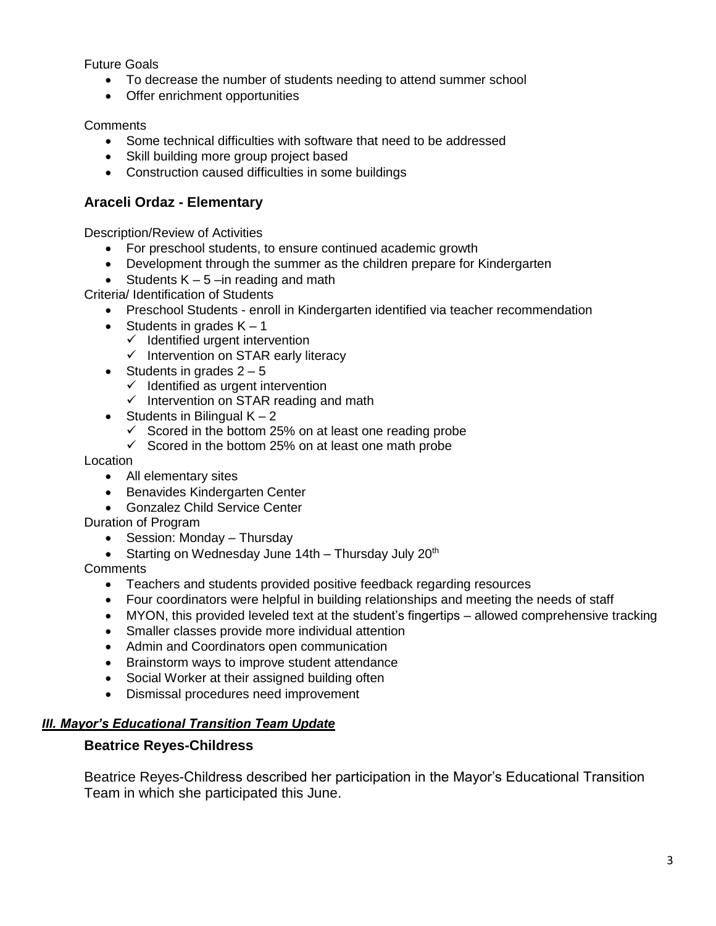Future Goals

- To decrease the number of students needing to attend summer school
- Offer enrichment opportunities

**Comments** 

- Some technical difficulties with software that need to be addressed
- Skill building more group project based
- Construction caused difficulties in some buildings

# **Araceli Ordaz - Elementary**

Description/Review of Activities

- For preschool students, to ensure continued academic growth
- Development through the summer as the children prepare for Kindergarten
- Students  $K 5$  –in reading and math

Criteria/ Identification of Students

- Preschool Students enroll in Kindergarten identified via teacher recommendation
- Students in grades  $K 1$ 
	- $\checkmark$  Identified urgent intervention
	- $\checkmark$  Intervention on STAR early literacy
- Students in grades  $2 5$ 
	- $\checkmark$  Identified as urgent intervention
	- $\checkmark$  Intervention on STAR reading and math
- Students in Bilingual  $K 2$ 
	- $\checkmark$  Scored in the bottom 25% on at least one reading probe
	- $\checkmark$  Scored in the bottom 25% on at least one math probe

Location

- All elementary sites
- Benavides Kindergarten Center
- Gonzalez Child Service Center

Duration of Program

- Session: Monday Thursday
- Starting on Wednesday June 14th Thursday July 20<sup>th</sup>

**Comments** 

- Teachers and students provided positive feedback regarding resources
- Four coordinators were helpful in building relationships and meeting the needs of staff
- MYON, this provided leveled text at the student's fingertips allowed comprehensive tracking
- Smaller classes provide more individual attention
- Admin and Coordinators open communication
- Brainstorm ways to improve student attendance
- Social Worker at their assigned building often
- Dismissal procedures need improvement

#### *III. Mayor's Educational Transition Team Update*

# **Beatrice Reyes-Childress**

Beatrice Reyes-Childress described her participation in the Mayor's Educational Transition Team in which she participated this June.